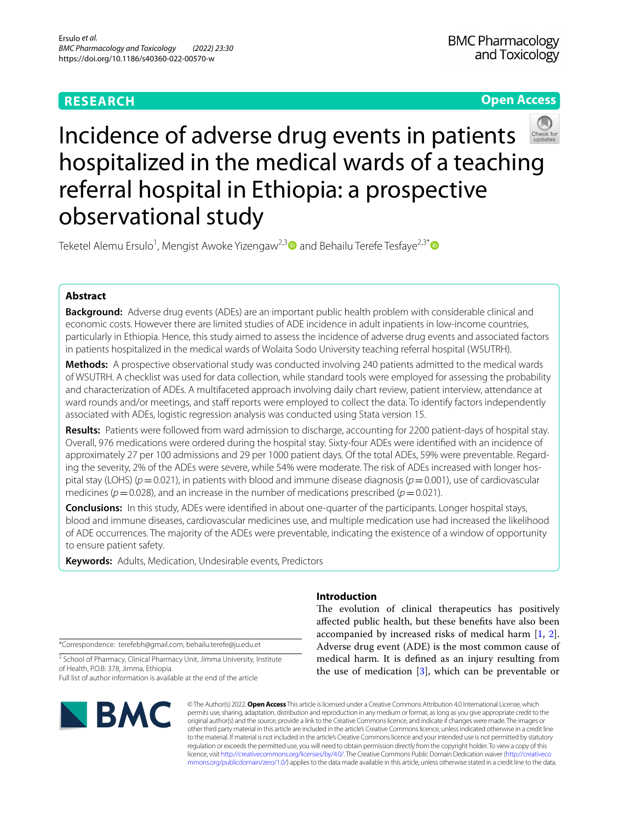# **RESEARCH**

# **Open Access**



# Incidence of adverse drug events in patients hospitalized in the medical wards of a teaching referral hospital in Ethiopia: a prospective observational study

Teketel Alemu Ersulo<sup>1</sup>, Mengist Awoke Yizengaw<sup>2,3</sup> and Behailu Terefe Tesfaye<sup>2,3\*</sup> @

# **Abstract**

**Background:** Adverse drug events (ADEs) are an important public health problem with considerable clinical and economic costs. However there are limited studies of ADE incidence in adult inpatients in low-income countries, particularly in Ethiopia. Hence, this study aimed to assess the incidence of adverse drug events and associated factors in patients hospitalized in the medical wards of Wolaita Sodo University teaching referral hospital (WSUTRH).

**Methods:** A prospective observational study was conducted involving 240 patients admitted to the medical wards of WSUTRH. A checklist was used for data collection, while standard tools were employed for assessing the probability and characterization of ADEs. A multifaceted approach involving daily chart review, patient interview, attendance at ward rounds and/or meetings, and staff reports were employed to collect the data. To identify factors independently associated with ADEs, logistic regression analysis was conducted using Stata version 15.

**Results:** Patients were followed from ward admission to discharge, accounting for 2200 patient-days of hospital stay. Overall, 976 medications were ordered during the hospital stay. Sixty-four ADEs were identifed with an incidence of approximately 27 per 100 admissions and 29 per 1000 patient days. Of the total ADEs, 59% were preventable. Regarding the severity, 2% of the ADEs were severe, while 54% were moderate. The risk of ADEs increased with longer hospital stay (LOHS) (*p*=0.021), in patients with blood and immune disease diagnosis (*p*=0.001), use of cardiovascular medicines ( $p = 0.028$ ), and an increase in the number of medications prescribed ( $p = 0.021$ ).

**Conclusions:** In this study, ADEs were identifed in about one-quarter of the participants. Longer hospital stays, blood and immune diseases, cardiovascular medicines use, and multiple medication use had increased the likelihood of ADE occurrences. The majority of the ADEs were preventable, indicating the existence of a window of opportunity to ensure patient safety.

**Keywords:** Adults, Medication, Undesirable events, Predictors

\*Correspondence: terefebh@gmail.com; behailu.terefe@ju.edu.et

<sup>2</sup> School of Pharmacy, Clinical Pharmacy Unit, Jimma University, Institute of Health, P.O.B: 378, Jimma, Ethiopia Full list of author information is available at the end of the article



# **Introduction**

The evolution of clinical therapeutics has positively afected public health, but these benefts have also been accompanied by increased risks of medical harm [\[1](#page-10-0), [2](#page-10-1)]. Adverse drug event (ADE) is the most common cause of medical harm. It is defned as an injury resulting from the use of medication [[3\]](#page-10-2), which can be preventable or

© The Author(s) 2022. **Open Access** This article is licensed under a Creative Commons Attribution 4.0 International License, which permits use, sharing, adaptation, distribution and reproduction in any medium or format, as long as you give appropriate credit to the original author(s) and the source, provide a link to the Creative Commons licence, and indicate if changes were made. The images or other third party material in this article are included in the article's Creative Commons licence, unless indicated otherwise in a credit line to the material. If material is not included in the article's Creative Commons licence and your intended use is not permitted by statutory regulation or exceeds the permitted use, you will need to obtain permission directly from the copyright holder. To view a copy of this licence, visit [http://creativecommons.org/licenses/by/4.0/.](http://creativecommons.org/licenses/by/4.0/) The Creative Commons Public Domain Dedication waiver ([http://creativeco](http://creativecommons.org/publicdomain/zero/1.0/) [mmons.org/publicdomain/zero/1.0/](http://creativecommons.org/publicdomain/zero/1.0/)) applies to the data made available in this article, unless otherwise stated in a credit line to the data.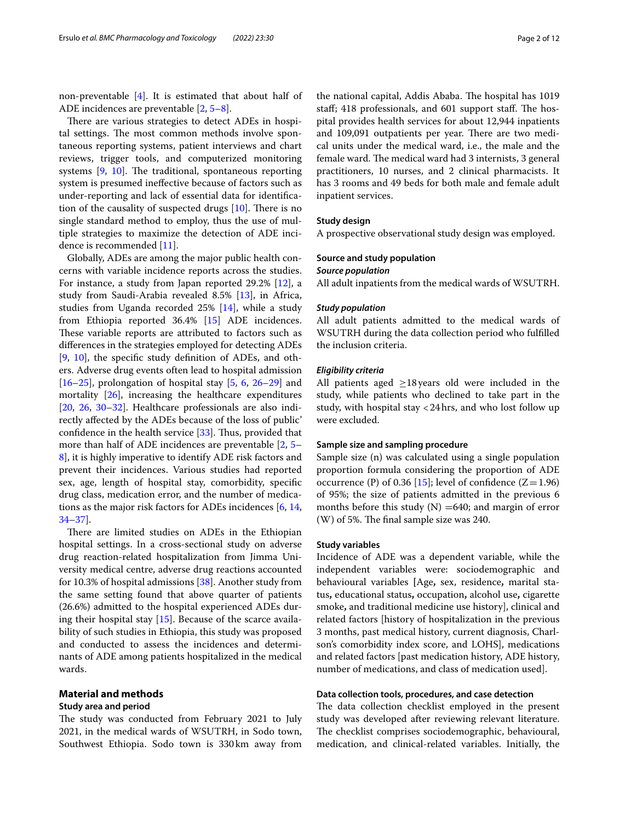non-preventable [\[4](#page-10-3)]. It is estimated that about half of ADE incidences are preventable [\[2](#page-10-1), [5–](#page-10-4)[8\]](#page-10-5).

There are various strategies to detect ADEs in hospital settings. The most common methods involve spontaneous reporting systems, patient interviews and chart reviews, trigger tools, and computerized monitoring systems  $[9, 10]$  $[9, 10]$  $[9, 10]$  $[9, 10]$ . The traditional, spontaneous reporting system is presumed inefective because of factors such as under-reporting and lack of essential data for identifcation of the causality of suspected drugs  $[10]$  $[10]$  $[10]$ . There is no single standard method to employ, thus the use of multiple strategies to maximize the detection of ADE incidence is recommended [[11](#page-10-8)].

Globally, ADEs are among the major public health concerns with variable incidence reports across the studies. For instance, a study from Japan reported 29.2% [\[12](#page-10-9)], a study from Saudi-Arabia revealed 8.5% [[13](#page-10-10)], in Africa, studies from Uganda recorded 25% [\[14](#page-10-11)], while a study from Ethiopia reported 36.4% [\[15](#page-10-12)] ADE incidences. These variable reports are attributed to factors such as diferences in the strategies employed for detecting ADEs [[9,](#page-10-6) [10\]](#page-10-7), the specifc study defnition of ADEs, and others. Adverse drug events often lead to hospital admission  $[16–25]$  $[16–25]$  $[16–25]$  $[16–25]$ , prolongation of hospital stay  $[5, 6, 26–29]$  $[5, 6, 26–29]$  $[5, 6, 26–29]$  $[5, 6, 26–29]$  $[5, 6, 26–29]$  $[5, 6, 26–29]$  $[5, 6, 26–29]$  and mortality [\[26](#page-11-1)], increasing the healthcare expenditures [[20,](#page-10-15) [26,](#page-11-1) [30](#page-11-3)[–32\]](#page-11-4). Healthcare professionals are also indirectly afected by the ADEs because of the loss of public' confidence in the health service  $[33]$  $[33]$ . Thus, provided that more than half of ADE incidences are preventable [[2,](#page-10-1) [5–](#page-10-4) [8\]](#page-10-5), it is highly imperative to identify ADE risk factors and prevent their incidences. Various studies had reported sex, age, length of hospital stay, comorbidity, specifc drug class, medication error, and the number of medications as the major risk factors for ADEs incidences [[6,](#page-10-14) [14](#page-10-11), [34–](#page-11-6)[37](#page-11-7)].

There are limited studies on ADEs in the Ethiopian hospital settings. In a cross-sectional study on adverse drug reaction-related hospitalization from Jimma University medical centre, adverse drug reactions accounted for 10.3% of hospital admissions [\[38](#page-11-8)]. Another study from the same setting found that above quarter of patients (26.6%) admitted to the hospital experienced ADEs during their hospital stay [\[15](#page-10-12)]. Because of the scarce availability of such studies in Ethiopia, this study was proposed and conducted to assess the incidences and determinants of ADE among patients hospitalized in the medical wards.

## **Material and methods**

#### **Study area and period**

The study was conducted from February 2021 to July 2021, in the medical wards of WSUTRH, in Sodo town, Southwest Ethiopia. Sodo town is 330km away from the national capital, Addis Ababa. The hospital has 1019 staff; 418 professionals, and 601 support staff. The hospital provides health services for about 12,944 inpatients and 109,091 outpatients per year. There are two medical units under the medical ward, i.e., the male and the female ward. The medical ward had 3 internists, 3 general practitioners, 10 nurses, and 2 clinical pharmacists. It has 3 rooms and 49 beds for both male and female adult inpatient services.

# **Study design**

A prospective observational study design was employed.

#### **Source and study population**

#### *Source population*

All adult inpatients from the medical wards of WSUTRH.

#### *Study population*

All adult patients admitted to the medical wards of WSUTRH during the data collection period who fulflled the inclusion criteria.

#### *Eligibility criteria*

All patients aged  $\geq$ 18 years old were included in the study, while patients who declined to take part in the study, with hospital stay <24hrs, and who lost follow up were excluded.

#### **Sample size and sampling procedure**

Sample size (n) was calculated using a single population proportion formula considering the proportion of ADE occurrence (P) of 0.36 [[15](#page-10-12)]; level of confidence  $(Z=1.96)$ of 95%; the size of patients admitted in the previous 6 months before this study  $(N) =640$ ; and margin of error  $(W)$  of 5%. The final sample size was 240.

#### **Study variables**

Incidence of ADE was a dependent variable, while the independent variables were: sociodemographic and behavioural variables **[**Age**,** sex, residence**,** marital status**,** educational status**,** occupation**,** alcohol use**,** cigarette smoke**,** and traditional medicine use history], clinical and related factors [history of hospitalization in the previous 3 months, past medical history, current diagnosis, Charlson's comorbidity index score, and LOHS], medications and related factors [past medication history, ADE history, number of medications, and class of medication used].

#### **Data collection tools, procedures, and case detection**

The data collection checklist employed in the present study was developed after reviewing relevant literature. The checklist comprises sociodemographic, behavioural, medication, and clinical-related variables. Initially, the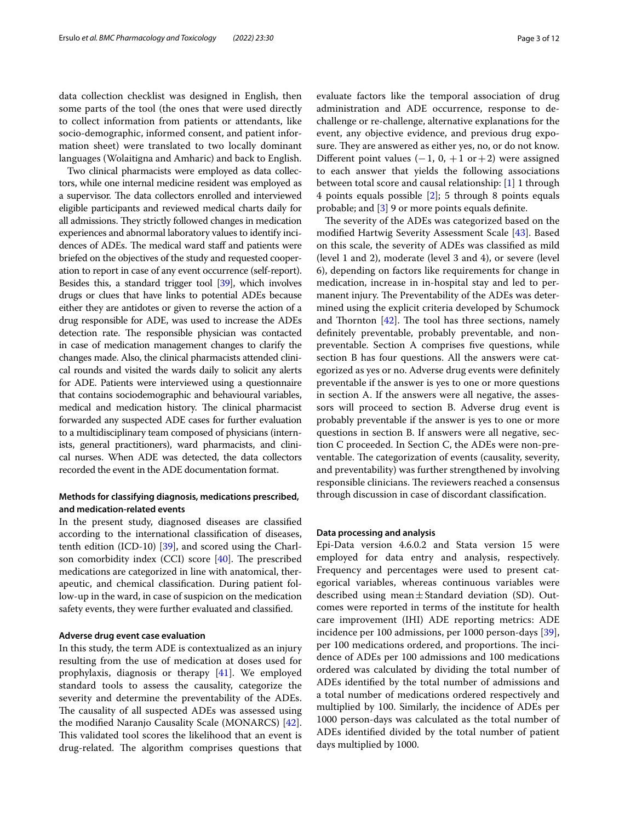data collection checklist was designed in English, then some parts of the tool (the ones that were used directly to collect information from patients or attendants, like socio-demographic, informed consent, and patient information sheet) were translated to two locally dominant languages (Wolaitigna and Amharic) and back to English.

Two clinical pharmacists were employed as data collectors, while one internal medicine resident was employed as a supervisor. The data collectors enrolled and interviewed eligible participants and reviewed medical charts daily for all admissions. They strictly followed changes in medication experiences and abnormal laboratory values to identify incidences of ADEs. The medical ward staff and patients were briefed on the objectives of the study and requested cooperation to report in case of any event occurrence (self-report). Besides this, a standard trigger tool [[39](#page-11-9)], which involves drugs or clues that have links to potential ADEs because either they are antidotes or given to reverse the action of a drug responsible for ADE, was used to increase the ADEs detection rate. The responsible physician was contacted in case of medication management changes to clarify the changes made. Also, the clinical pharmacists attended clinical rounds and visited the wards daily to solicit any alerts for ADE. Patients were interviewed using a questionnaire that contains sociodemographic and behavioural variables, medical and medication history. The clinical pharmacist forwarded any suspected ADE cases for further evaluation to a multidisciplinary team composed of physicians (internists, general practitioners), ward pharmacists, and clinical nurses. When ADE was detected, the data collectors recorded the event in the ADE documentation format.

# **Methods for classifying diagnosis, medications prescribed, and medication‑related events**

In the present study, diagnosed diseases are classifed according to the international classifcation of diseases, tenth edition (ICD-10) [[39](#page-11-9)], and scored using the Charlson comorbidity index  $(CCI)$  score  $[40]$  $[40]$  $[40]$ . The prescribed medications are categorized in line with anatomical, therapeutic, and chemical classifcation. During patient follow-up in the ward, in case of suspicion on the medication safety events, they were further evaluated and classifed.

#### **Adverse drug event case evaluation**

In this study, the term ADE is contextualized as an injury resulting from the use of medication at doses used for prophylaxis, diagnosis or therapy [\[41](#page-11-11)]. We employed standard tools to assess the causality, categorize the severity and determine the preventability of the ADEs. The causality of all suspected ADEs was assessed using the modifed Naranjo Causality Scale (MONARCS) [\[42](#page-11-12)]. This validated tool scores the likelihood that an event is drug-related. The algorithm comprises questions that evaluate factors like the temporal association of drug administration and ADE occurrence, response to dechallenge or re-challenge, alternative explanations for the event, any objective evidence, and previous drug exposure. They are answered as either yes, no, or do not know. Different point values  $(-1, 0, +1 \text{ or } +2)$  were assigned to each answer that yields the following associations between total score and causal relationship: [[1\]](#page-10-0) 1 through 4 points equals possible [[2\]](#page-10-1); 5 through 8 points equals probable; and [[3\]](#page-10-2) 9 or more points equals defnite.

The severity of the ADEs was categorized based on the modifed Hartwig Severity Assessment Scale [[43\]](#page-11-13). Based on this scale, the severity of ADEs was classifed as mild (level 1 and 2), moderate (level 3 and 4), or severe (level 6), depending on factors like requirements for change in medication, increase in in-hospital stay and led to permanent injury. The Preventability of the ADEs was determined using the explicit criteria developed by Schumock and Thornton  $[42]$  $[42]$  $[42]$ . The tool has three sections, namely defnitely preventable, probably preventable, and nonpreventable. Section A comprises fve questions, while section B has four questions. All the answers were categorized as yes or no. Adverse drug events were defnitely preventable if the answer is yes to one or more questions in section A. If the answers were all negative, the assessors will proceed to section B. Adverse drug event is probably preventable if the answer is yes to one or more questions in section B. If answers were all negative, section C proceeded. In Section C, the ADEs were non-preventable. The categorization of events (causality, severity, and preventability) was further strengthened by involving responsible clinicians. The reviewers reached a consensus through discussion in case of discordant classifcation.

#### **Data processing and analysis**

Epi-Data version 4.6.0.2 and Stata version 15 were employed for data entry and analysis, respectively. Frequency and percentages were used to present categorical variables, whereas continuous variables were described using mean $\pm$ Standard deviation (SD). Outcomes were reported in terms of the institute for health care improvement (IHI) ADE reporting metrics: ADE incidence per 100 admissions, per 1000 person-days [\[39](#page-11-9)], per 100 medications ordered, and proportions. The incidence of ADEs per 100 admissions and 100 medications ordered was calculated by dividing the total number of ADEs identifed by the total number of admissions and a total number of medications ordered respectively and multiplied by 100. Similarly, the incidence of ADEs per 1000 person-days was calculated as the total number of ADEs identifed divided by the total number of patient days multiplied by 1000.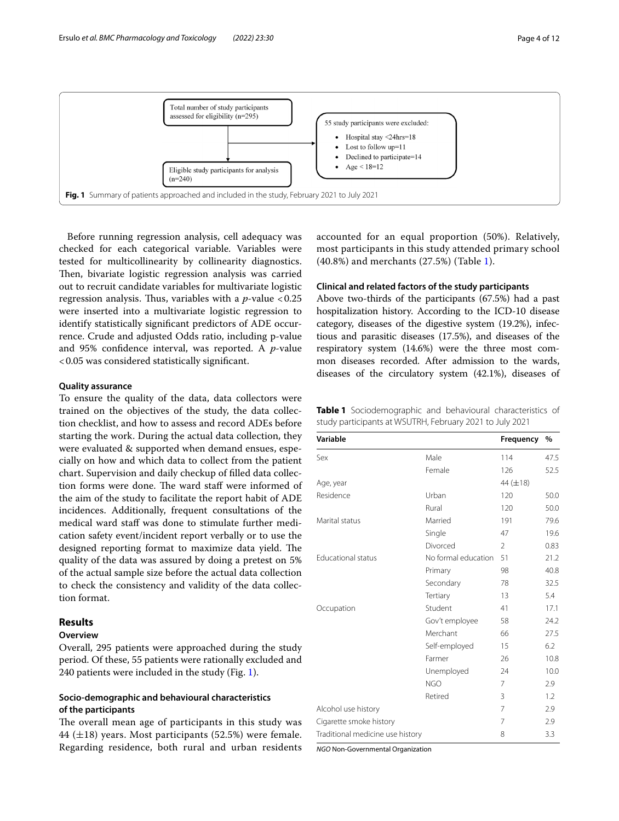

<span id="page-3-0"></span>Before running regression analysis, cell adequacy was checked for each categorical variable. Variables were tested for multicollinearity by collinearity diagnostics. Then, bivariate logistic regression analysis was carried out to recruit candidate variables for multivariate logistic regression analysis. Thus, variables with a  $p$ -value <0.25 were inserted into a multivariate logistic regression to identify statistically signifcant predictors of ADE occurrence. Crude and adjusted Odds ratio, including p-value and 95% confdence interval, was reported. A *p*-value <0.05 was considered statistically signifcant.

#### **Quality assurance**

To ensure the quality of the data, data collectors were trained on the objectives of the study, the data collection checklist, and how to assess and record ADEs before starting the work. During the actual data collection, they were evaluated & supported when demand ensues, especially on how and which data to collect from the patient chart. Supervision and daily checkup of flled data collection forms were done. The ward staff were informed of the aim of the study to facilitate the report habit of ADE incidences. Additionally, frequent consultations of the medical ward staff was done to stimulate further medication safety event/incident report verbally or to use the designed reporting format to maximize data yield. The quality of the data was assured by doing a pretest on 5% of the actual sample size before the actual data collection to check the consistency and validity of the data collection format.

# **Results**

# **Overview**

Overall, 295 patients were approached during the study period. Of these, 55 patients were rationally excluded and 240 patients were included in the study (Fig. [1\)](#page-3-0).

# **Socio‑demographic and behavioural characteristics of the participants**

The overall mean age of participants in this study was 44  $(\pm 18)$  years. Most participants (52.5%) were female. Regarding residence, both rural and urban residents accounted for an equal proportion (50%). Relatively, most participants in this study attended primary school (40.8%) and merchants (27.5%) (Table [1\)](#page-3-1).

## **Clinical and related factors of the study participants**

Above two-thirds of the participants (67.5%) had a past hospitalization history. According to the ICD-10 disease category, diseases of the digestive system (19.2%), infectious and parasitic diseases (17.5%), and diseases of the respiratory system (14.6%) were the three most common diseases recorded. After admission to the wards, diseases of the circulatory system (42.1%), diseases of

<span id="page-3-1"></span>

| <b>Table 1</b> Sociodemographic and behavioural characteristics of |  |  |
|--------------------------------------------------------------------|--|--|
| study participants at WSUTRH, February 2021 to July 2021           |  |  |

| Variable                         |                     | <b>Frequency</b> | $\frac{0}{0}$ |
|----------------------------------|---------------------|------------------|---------------|
| Sex                              | Male                | 114              | 47.5          |
|                                  | Female              | 126              | 52.5          |
| Age, year                        |                     | 44 $(\pm 18)$    |               |
| Residence                        | Urban               | 120              | 50.0          |
|                                  | Rural               | 120              | 50.0          |
| Marital status                   | Married             | 191              | 79.6          |
|                                  | Single              | 47               | 19.6          |
|                                  | Divorced            | $\overline{2}$   | 0.83          |
| <b>Educational status</b>        | No formal education | 51               | 21.2          |
|                                  | Primary             | 98               | 40.8          |
|                                  | Secondary           | 78               | 32.5          |
|                                  | Tertiary            | 13               | 5.4           |
| Occupation                       | Student             | 41               | 17.1          |
|                                  | Gov't employee      | 58               | 24.2          |
|                                  | Merchant            | 66               | 27.5          |
|                                  | Self-employed       | 15               | 6.2           |
|                                  | Farmer              | 26               | 10.8          |
|                                  | Unemployed          | 24               | 10.0          |
|                                  | NGO                 | 7                | 2.9           |
|                                  | Retired             | 3                | 1.2           |
| Alcohol use history              |                     | $\overline{7}$   | 2.9           |
| Cigarette smoke history          |                     | $\overline{7}$   | 2.9           |
| Traditional medicine use history |                     | 8                | 3.3           |

*NGO* Non-Governmental Organization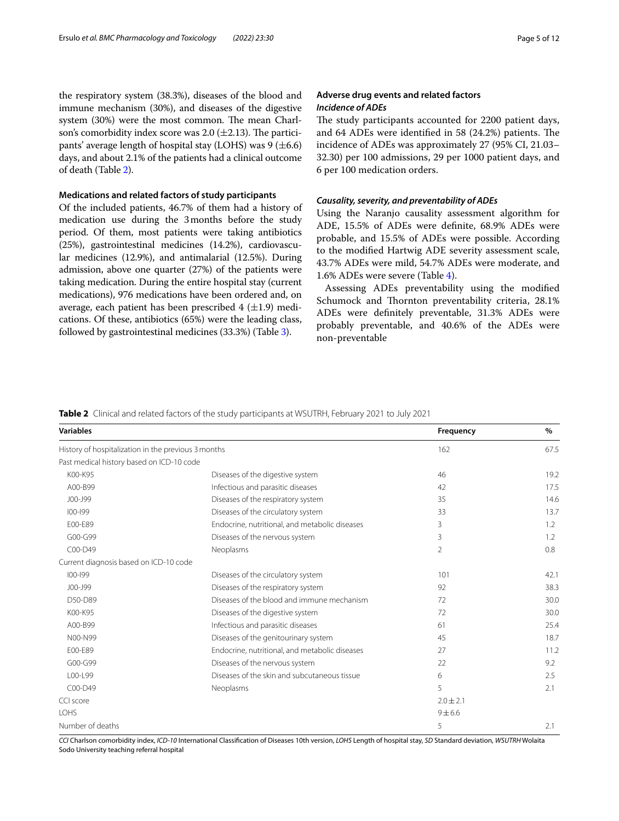the respiratory system (38.3%), diseases of the blood and immune mechanism (30%), and diseases of the digestive system (30%) were the most common. The mean Charlson's comorbidity index score was 2.0  $(\pm 2.13)$ . The participants' average length of hospital stay (LOHS) was  $9 (\pm 6.6)$ days, and about 2.1% of the patients had a clinical outcome of death (Table [2](#page-4-0)).

#### **Medications and related factors of study participants**

Of the included patients, 46.7% of them had a history of medication use during the 3months before the study period. Of them, most patients were taking antibiotics (25%), gastrointestinal medicines (14.2%), cardiovascular medicines (12.9%), and antimalarial (12.5%). During admission, above one quarter (27%) of the patients were taking medication. During the entire hospital stay (current medications), 976 medications have been ordered and, on average, each patient has been prescribed  $4$  ( $\pm$ 1.9) medications. Of these, antibiotics (65%) were the leading class, followed by gastrointestinal medicines (33.3%) (Table [3](#page-5-0)).

# **Adverse drug events and related factors** *Incidence of ADEs*

The study participants accounted for 2200 patient days, and 64 ADEs were identified in 58 (24.2%) patients. The incidence of ADEs was approximately 27 (95% CI, 21.03– 32.30) per 100 admissions, 29 per 1000 patient days, and 6 per 100 medication orders.

#### *Causality, severity, and preventability of ADEs*

Using the Naranjo causality assessment algorithm for ADE, 15.5% of ADEs were defnite, 68.9% ADEs were probable, and 15.5% of ADEs were possible. According to the modifed Hartwig ADE severity assessment scale, 43.7% ADEs were mild, 54.7% ADEs were moderate, and 1.6% ADEs were severe (Table [4](#page-6-0)).

Assessing ADEs preventability using the modifed Schumock and Thornton preventability criteria, 28.1% ADEs were defnitely preventable, 31.3% ADEs were probably preventable, and 40.6% of the ADEs were non-preventable

# <span id="page-4-0"></span>**Table 2** Clinical and related factors of the study participants at WSUTRH, February 2021 to July 2021

| <b>Variables</b>                                    |                                                | Frequency     | $\%$ |
|-----------------------------------------------------|------------------------------------------------|---------------|------|
| History of hospitalization in the previous 3 months |                                                | 162           | 67.5 |
| Past medical history based on ICD-10 code           |                                                |               |      |
| K00-K95                                             | Diseases of the digestive system               | 46            | 19.2 |
| A00-B99                                             | Infectious and parasitic diseases              | 42            | 17.5 |
| J00-J99                                             | Diseases of the respiratory system             | 35            | 14.6 |
| $100 - 199$                                         | Diseases of the circulatory system             | 33            | 13.7 |
| E00-E89                                             | Endocrine, nutritional, and metabolic diseases | 3             | 1.2  |
| G00-G99                                             | Diseases of the nervous system                 | 3             | 1.2  |
| C00-D49                                             | Neoplasms                                      | 2             | 0.8  |
| Current diagnosis based on ICD-10 code              |                                                |               |      |
| $100 - 199$                                         | Diseases of the circulatory system             | 101           | 42.1 |
| J00-J99                                             | Diseases of the respiratory system             | 92            | 38.3 |
| D50-D89                                             | Diseases of the blood and immune mechanism     | 72            | 30.0 |
| K00-K95                                             | Diseases of the digestive system               | 72            | 30.0 |
| A00-B99                                             | Infectious and parasitic diseases              | 61            | 25.4 |
| N00-N99                                             | Diseases of the genitourinary system           | 45            | 18.7 |
| E00-E89                                             | Endocrine, nutritional, and metabolic diseases | 27            | 11.2 |
| G00-G99                                             | Diseases of the nervous system                 | 22            | 9.2  |
| L00-L99                                             | Diseases of the skin and subcutaneous tissue   | 6             | 2.5  |
| $COO-D49$                                           | Neoplasms                                      | 5             | 2.1  |
| CCI score                                           |                                                | $2.0 \pm 2.1$ |      |
| <b>LOHS</b>                                         |                                                | $9 + 6.6$     |      |
| Number of deaths                                    |                                                | 5             | 2.1  |

*CCI* Charlson comorbidity index, *ICD-10* International Classifcation of Diseases 10th version, *LOHS* Length of hospital stay, *SD* Standard deviation, *WSUTRH* Wolaita Sodo University teaching referral hospital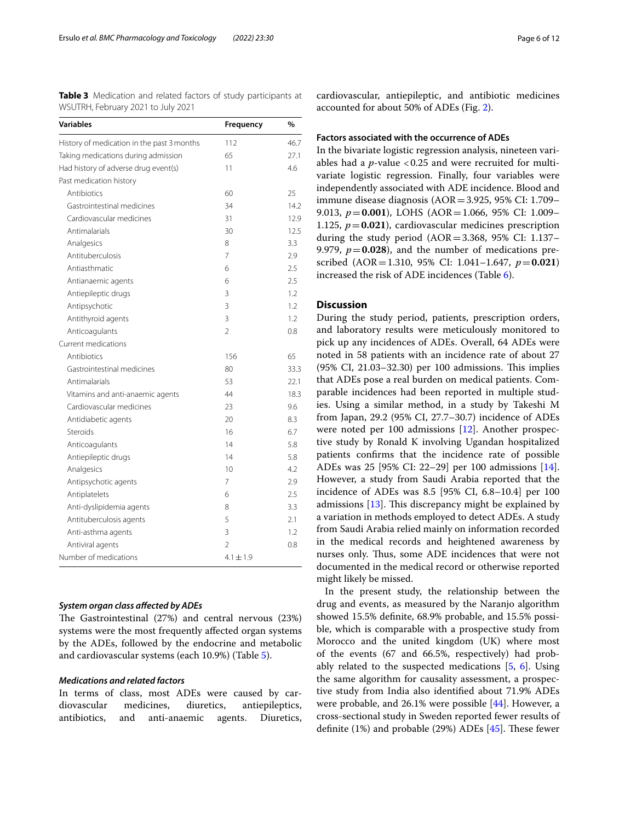<span id="page-5-0"></span>**Table 3** Medication and related factors of study participants at WSUTRH, February 2021 to July 2021

| Variables                                  | Frequency                | $\frac{0}{0}$ |
|--------------------------------------------|--------------------------|---------------|
| History of medication in the past 3 months | 112                      | 46.7          |
| Taking medications during admission        | 65                       | 27.1          |
| Had history of adverse drug event(s)       | 11                       | 4.6           |
| Past medication history                    |                          |               |
| Antibiotics                                | 60                       | 25            |
| Gastrointestinal medicines                 | 34                       | 14.2          |
| Cardiovascular medicines                   | 31                       | 12.9          |
| Antimalarials                              | 30                       | 12.5          |
| Analgesics                                 | 8                        | 3.3           |
| Antituberculosis                           | 7                        | 2.9           |
| Antiasthmatic                              | 6                        | 2.5           |
| Antianaemic agents                         | 6                        | 2.5           |
| Antiepileptic drugs                        | 3                        | 1.2           |
| Antipsychotic                              | 3                        | 1.2           |
| Antithyroid agents                         | $\overline{3}$           | 1.2           |
| Anticoagulants                             | $\mathfrak{D}$           | 0.8           |
| Current medications                        |                          |               |
| Antibiotics                                | 156                      | 65            |
| Gastrointestinal medicines                 | 80                       | 33.3          |
| Antimalarials                              | 53                       | 22.1          |
| Vitamins and anti-anaemic agents           | 44                       | 18.3          |
| Cardiovascular medicines                   | 23                       | 9.6           |
| Antidiabetic agents                        | 20                       | 8.3           |
| Steroids                                   | 16                       | 6.7           |
| Anticoagulants                             | 14                       | 5.8           |
| Antiepileptic drugs                        | 14                       | 5.8           |
| Analgesics                                 | 10                       | 4.2           |
| Antipsychotic agents                       | 7                        | 2.9           |
| Antiplatelets                              | 6                        | 2.5           |
| Anti-dyslipidemia agents                   | 8                        | 3.3           |
| Antituberculosis agents                    | 5                        | 2.1           |
| Anti-asthma agents                         | 3                        | 1.2           |
| Antiviral agents                           | $\overline{\mathcal{L}}$ | 0.8           |
| Number of medications                      | $4.1 \pm 1.9$            |               |

#### *System organ class afected by ADEs*

The Gastrointestinal (27%) and central nervous (23%) systems were the most frequently afected organ systems by the ADEs, followed by the endocrine and metabolic and cardiovascular systems (each 10.9%) (Table [5](#page-7-0)).

#### *Medications and related factors*

In terms of class, most ADEs were caused by cardiovascular medicines, diuretics, antiepileptics, antibiotics, and anti-anaemic agents. Diuretics,

cardiovascular, antiepileptic, and antibiotic medicines accounted for about 50% of ADEs (Fig. [2](#page-8-0)).

#### **Factors associated with the occurrence of ADEs**

In the bivariate logistic regression analysis, nineteen variables had a  $p$ -value <0.25 and were recruited for multivariate logistic regression. Finally, four variables were independently associated with ADE incidence. Blood and immune disease diagnosis (AOR=3.925, 95% CI: 1.709– 9.013, *p*=**0.001**), LOHS (AOR=1.066, 95% CI: 1.009– 1.125,  $p = 0.021$ ), cardiovascular medicines prescription during the study period  $(AOR = 3.368, 95\% \text{ CI: } 1.137$ -9.979,  $p = 0.028$ ), and the number of medications prescribed (AOR=1.310, 95% CI: 1.041–1.647, *p*=**0.021**) increased the risk of ADE incidences (Table [6\)](#page-9-0).

# **Discussion**

During the study period, patients, prescription orders, and laboratory results were meticulously monitored to pick up any incidences of ADEs. Overall, 64 ADEs were noted in 58 patients with an incidence rate of about 27 (95% CI, 21.03-32.30) per 100 admissions. This implies that ADEs pose a real burden on medical patients. Comparable incidences had been reported in multiple studies. Using a similar method, in a study by Takeshi M from Japan, 29.2 (95% CI, 27.7–30.7) incidence of ADEs were noted per 100 admissions [\[12\]](#page-10-9). Another prospective study by Ronald K involving Ugandan hospitalized patients confrms that the incidence rate of possible ADEs was 25 [95% CI: 22–29] per 100 admissions [\[14](#page-10-11)]. However, a study from Saudi Arabia reported that the incidence of ADEs was 8.5 [95% CI, 6.8–10.4] per 100 admissions  $[13]$  $[13]$ . This discrepancy might be explained by a variation in methods employed to detect ADEs. A study from Saudi Arabia relied mainly on information recorded in the medical records and heightened awareness by nurses only. Thus, some ADE incidences that were not documented in the medical record or otherwise reported might likely be missed.

In the present study, the relationship between the drug and events, as measured by the Naranjo algorithm showed 15.5% defnite, 68.9% probable, and 15.5% possible, which is comparable with a prospective study from Morocco and the united kingdom (UK) where most of the events (67 and 66.5%, respectively) had probably related to the suspected medications [\[5](#page-10-4), [6](#page-10-14)]. Using the same algorithm for causality assessment, a prospective study from India also identifed about 71.9% ADEs were probable, and 26.1% were possible [[44](#page-11-14)]. However, a cross-sectional study in Sweden reported fewer results of definite  $(1%)$  and probable  $(29%)$  ADEs  $[45]$  $[45]$ . These fewer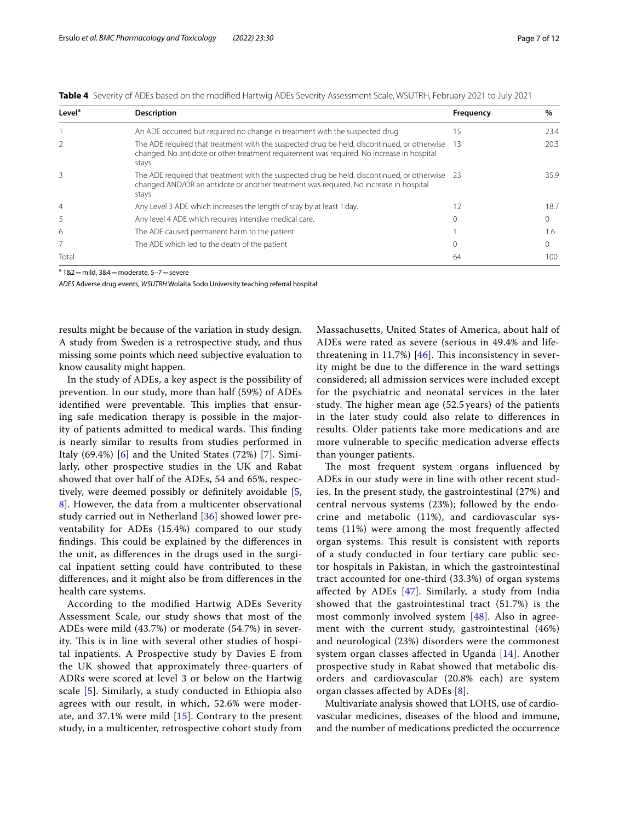<span id="page-6-0"></span>

|  |  | <b>Table 4</b> Severity of ADEs based on the modified Hartwig ADEs Severity Assessment Scale. WSUTRH, February 2021 to July 2021 |  |  |  |  |  |
|--|--|----------------------------------------------------------------------------------------------------------------------------------|--|--|--|--|--|
|--|--|----------------------------------------------------------------------------------------------------------------------------------|--|--|--|--|--|

| Level <sup>a</sup> | <b>Description</b>                                                                                                                                                                                 | Frequency | %    |
|--------------------|----------------------------------------------------------------------------------------------------------------------------------------------------------------------------------------------------|-----------|------|
|                    | An ADE occurred but required no change in treatment with the suspected drug                                                                                                                        | 15        | 23.4 |
|                    | The ADE required that treatment with the suspected drug be held, discontinued, or otherwise<br>changed. No antidote or other treatment requirement was required. No increase in hospital<br>stays. | 13        | 20.3 |
| 3                  | The ADE required that treatment with the suspected drug be held, discontinued, or otherwise<br>changed AND/OR an antidote or another treatment was required. No increase in hospital<br>stays.     | - 23      | 35.9 |
| $\overline{4}$     | Any Level 3 ADE which increases the length of stay by at least 1 day.                                                                                                                              |           | 18.7 |
| 5                  | Any level 4 ADE which requires intensive medical care.                                                                                                                                             | $\Omega$  |      |
| 6                  | The ADE caused permanent harm to the patient                                                                                                                                                       |           | 1.6  |
|                    | The ADE which led to the death of the patient                                                                                                                                                      | $\Omega$  |      |
| Total              |                                                                                                                                                                                                    | 64        | 100  |

 $a$  1&2 = mild, 3&4 = moderate, 5-7 = severe

*ADES* Adverse drug events, *WSUTRH* Wolaita Sodo University teaching referral hospital

results might be because of the variation in study design. A study from Sweden is a retrospective study, and thus missing some points which need subjective evaluation to know causality might happen.

In the study of ADEs, a key aspect is the possibility of prevention. In our study, more than half (59%) of ADEs identified were preventable. This implies that ensuring safe medication therapy is possible in the majority of patients admitted to medical wards. This finding is nearly similar to results from studies performed in Italy  $(69.4\%)$  $(69.4\%)$  $(69.4\%)$   $[6]$  and the United States  $(72\%)$  $(72\%)$  $(72\%)$   $[7]$ . Similarly, other prospective studies in the UK and Rabat showed that over half of the ADEs, 54 and 65%, respectively, were deemed possibly or defnitely avoidable [\[5](#page-10-4), [8\]](#page-10-5). However, the data from a multicenter observational study carried out in Netherland [\[36](#page-11-16)] showed lower preventability for ADEs (15.4%) compared to our study findings. This could be explained by the differences in the unit, as diferences in the drugs used in the surgical inpatient setting could have contributed to these diferences, and it might also be from diferences in the health care systems.

According to the modifed Hartwig ADEs Severity Assessment Scale, our study shows that most of the ADEs were mild (43.7%) or moderate (54.7%) in severity. This is in line with several other studies of hospital inpatients. A Prospective study by Davies E from the UK showed that approximately three-quarters of ADRs were scored at level 3 or below on the Hartwig scale [[5](#page-10-4)]. Similarly, a study conducted in Ethiopia also agrees with our result, in which, 52.6% were moderate, and 37.1% were mild [\[15](#page-10-12)]. Contrary to the present study, in a multicenter, retrospective cohort study from Massachusetts, United States of America, about half of ADEs were rated as severe (serious in 49.4% and lifethreatening in 11.7%)  $[46]$  $[46]$  $[46]$ . This inconsistency in severity might be due to the diference in the ward settings considered; all admission services were included except for the psychiatric and neonatal services in the later study. The higher mean age  $(52.5 \, \text{years})$  of the patients in the later study could also relate to diferences in results. Older patients take more medications and are more vulnerable to specifc medication adverse efects than younger patients.

The most frequent system organs influenced by ADEs in our study were in line with other recent studies. In the present study, the gastrointestinal (27%) and central nervous systems (23%); followed by the endocrine and metabolic (11%), and cardiovascular systems (11%) were among the most frequently afected organ systems. This result is consistent with reports of a study conducted in four tertiary care public sector hospitals in Pakistan, in which the gastrointestinal tract accounted for one-third (33.3%) of organ systems afected by ADEs [[47\]](#page-11-18). Similarly, a study from India showed that the gastrointestinal tract (51.7%) is the most commonly involved system [[48](#page-11-19)]. Also in agreement with the current study, gastrointestinal (46%) and neurological (23%) disorders were the commonest system organ classes afected in Uganda [[14](#page-10-11)]. Another prospective study in Rabat showed that metabolic disorders and cardiovascular (20.8% each) are system organ classes afected by ADEs [[8\]](#page-10-5).

Multivariate analysis showed that LOHS, use of cardiovascular medicines, diseases of the blood and immune, and the number of medications predicted the occurrence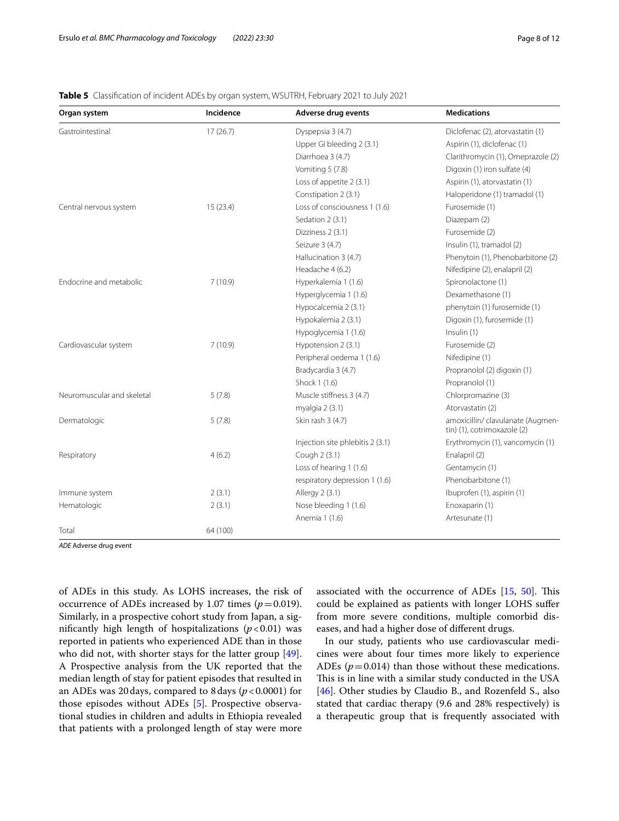# <span id="page-7-0"></span>**Table 5** Classifcation of incident ADEs by organ system, WSUTRH, February 2021 to July 2021

| Organ system               | Incidence | Adverse drug events              | <b>Medications</b>                                               |
|----------------------------|-----------|----------------------------------|------------------------------------------------------------------|
| Gastrointestinal           | 17(26.7)  | Dyspepsia 3 (4.7)                | Diclofenac (2), atorvastatin (1)                                 |
|                            |           | Upper GI bleeding 2 (3.1)        | Aspirin (1), diclofenac (1)                                      |
|                            |           | Diarrhoea 3 (4.7)                | Clarithromycin (1), Omeprazole (2)                               |
|                            |           | Vomiting 5 (7.8)                 | Digoxin (1) iron sulfate (4)                                     |
|                            |           | Loss of appetite 2 (3.1)         | Aspirin (1), atorvastatin (1)                                    |
|                            |           | Constipation 2 (3.1)             | Haloperidone (1) tramadol (1)                                    |
| Central nervous system     | 15(23.4)  | Loss of consciousness 1 (1.6)    | Furosemide (1)                                                   |
|                            |           | Sedation 2 (3.1)                 | Diazepam (2)                                                     |
|                            |           | Dizziness 2 (3.1)                | Furosemide (2)                                                   |
|                            |           | Seizure 3 (4.7)                  | Insulin (1), tramadol (2)                                        |
|                            |           | Hallucination 3 (4.7)            | Phenytoin (1), Phenobarbitone (2)                                |
|                            |           | Headache 4 (6.2)                 | Nifedipine (2), enalapril (2)                                    |
| Endocrine and metabolic    | 7(10.9)   | Hyperkalemia 1 (1.6)             | Spironolactone (1)                                               |
|                            |           | Hyperglycemia 1 (1.6)            | Dexamethasone (1)                                                |
|                            |           | Hypocalcemia 2 (3.1)             | phenytoin (1) furosemide (1)                                     |
|                            |           | Hypokalemia 2 (3.1)              | Digoxin (1), furosemide (1)                                      |
|                            |           | Hypoglycemia 1 (1.6)             | Insulin (1)                                                      |
| Cardiovascular system      | 7(10.9)   | Hypotension 2 (3.1)              | Furosemide (2)                                                   |
|                            |           | Peripheral oedema 1 (1.6)        | Nifedipine (1)                                                   |
|                            |           | Bradycardia 3 (4.7)              | Propranolol (2) digoxin (1)                                      |
|                            |           | Shock 1 (1.6)                    | Propranolol (1)                                                  |
| Neuromuscular and skeletal | 5(7.8)    | Muscle stiffness 3 (4.7)         | Chlorpromazine (3)                                               |
|                            |           | myalgia 2 (3.1)                  | Atorvastatin (2)                                                 |
| Dermatologic               | 5(7.8)    | Skin rash 3 (4.7)                | amoxicillin/ clavulanate (Augmen-<br>tin) (1), cotrimoxazole (2) |
|                            |           | Injection site phlebitis 2 (3.1) | Erythromycin (1), vancomycin (1)                                 |
| Respiratory                | 4(6.2)    | Cough 2 (3.1)                    | Enalapril (2)                                                    |
|                            |           | Loss of hearing 1 (1.6)          | Gentamycin (1)                                                   |
|                            |           | respiratory depression 1 (1.6)   | Phenobarbitone (1)                                               |
| Immune system              | 2(3.1)    | Allergy 2 (3.1)                  | Ibuprofen (1), aspirin (1)                                       |
| Hematologic                | 2(3.1)    | Nose bleeding 1 (1.6)            | Enoxaparin (1)                                                   |
|                            |           | Anemia 1 (1.6)                   | Artesunate (1)                                                   |
| Total                      | 64 (100)  |                                  |                                                                  |

*ADE* Adverse drug event

of ADEs in this study. As LOHS increases, the risk of occurrence of ADEs increased by 1.07 times  $(p=0.019)$ . Similarly, in a prospective cohort study from Japan, a significantly high length of hospitalizations  $(p<0.01)$  was reported in patients who experienced ADE than in those who did not, with shorter stays for the latter group [\[49](#page-11-20)]. A Prospective analysis from the UK reported that the median length of stay for patient episodes that resulted in an ADEs was 20days, compared to 8days (*p*<0.0001) for those episodes without ADEs [\[5\]](#page-10-4). Prospective observational studies in children and adults in Ethiopia revealed that patients with a prolonged length of stay were more

associated with the occurrence of ADEs  $[15, 50]$  $[15, 50]$  $[15, 50]$  $[15, 50]$ . This could be explained as patients with longer LOHS sufer from more severe conditions, multiple comorbid diseases, and had a higher dose of diferent drugs.

In our study, patients who use cardiovascular medicines were about four times more likely to experience ADEs ( $p = 0.014$ ) than those without these medications. This is in line with a similar study conducted in the USA [[46\]](#page-11-17). Other studies by Claudio B., and Rozenfeld S., also stated that cardiac therapy (9.6 and 28% respectively) is a therapeutic group that is frequently associated with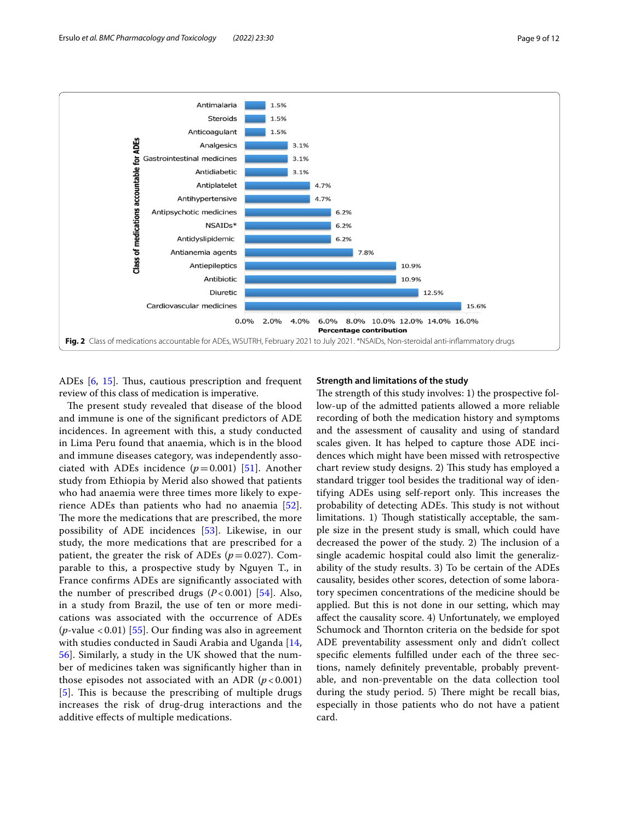

<span id="page-8-0"></span>ADEs [\[6](#page-10-14), [15](#page-10-12)]. Thus, cautious prescription and frequent review of this class of medication is imperative.

The present study revealed that disease of the blood and immune is one of the signifcant predictors of ADE incidences. In agreement with this, a study conducted in Lima Peru found that anaemia, which is in the blood and immune diseases category, was independently associated with ADEs incidence  $(p=0.001)$  [\[51](#page-11-22)]. Another study from Ethiopia by Merid also showed that patients who had anaemia were three times more likely to experience ADEs than patients who had no anaemia [[52](#page-11-23)]. The more the medications that are prescribed, the more possibility of ADE incidences [[53\]](#page-11-24). Likewise, in our study, the more medications that are prescribed for a patient, the greater the risk of ADEs  $(p=0.027)$ . Comparable to this, a prospective study by Nguyen T., in France confrms ADEs are signifcantly associated with the number of prescribed drugs  $(P<0.001)$  [[54\]](#page-11-25). Also, in a study from Brazil, the use of ten or more medications was associated with the occurrence of ADEs (*p*-value < 0.01) [\[55](#page-11-26)]. Our fnding was also in agreement with studies conducted in Saudi Arabia and Uganda [\[14](#page-10-11), [56\]](#page-11-27). Similarly, a study in the UK showed that the number of medicines taken was signifcantly higher than in those episodes not associated with an ADR  $(p<0.001)$ [[5](#page-10-4)]. This is because the prescribing of multiple drugs increases the risk of drug-drug interactions and the additive efects of multiple medications.

## **Strength and limitations of the study**

The strength of this study involves: 1) the prospective follow-up of the admitted patients allowed a more reliable recording of both the medication history and symptoms and the assessment of causality and using of standard scales given. It has helped to capture those ADE incidences which might have been missed with retrospective chart review study designs. 2) This study has employed a standard trigger tool besides the traditional way of identifying ADEs using self-report only. This increases the probability of detecting ADEs. This study is not without limitations. 1) Though statistically acceptable, the sample size in the present study is small, which could have decreased the power of the study. 2) The inclusion of a single academic hospital could also limit the generalizability of the study results. 3) To be certain of the ADEs causality, besides other scores, detection of some laboratory specimen concentrations of the medicine should be applied. But this is not done in our setting, which may afect the causality score. 4) Unfortunately, we employed Schumock and Thornton criteria on the bedside for spot ADE preventability assessment only and didn't collect specifc elements fulflled under each of the three sections, namely defnitely preventable, probably preventable, and non-preventable on the data collection tool during the study period. 5) There might be recall bias, especially in those patients who do not have a patient card.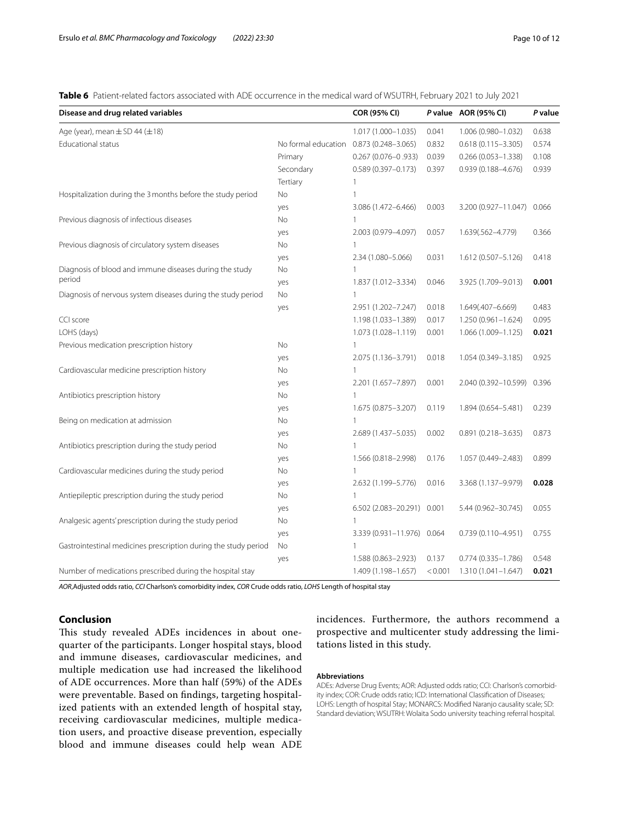<span id="page-9-0"></span>**Table 6** Patient-related factors associated with ADE occurrence in the medical ward of WSUTRH, February 2021 to July 2021

| Disease and drug related variables                              |                     | COR (95% CI)               |         | P value AOR (95% CI)   | P value |
|-----------------------------------------------------------------|---------------------|----------------------------|---------|------------------------|---------|
| Age (year), mean $\pm$ SD 44 ( $\pm$ 18)                        |                     | 1.017 (1.000-1.035)        | 0.041   | 1.006 (0.980-1.032)    | 0.638   |
| <b>Educational status</b>                                       | No formal education | $0.873(0.248 - 3.065)$     | 0.832   | $0.618(0.115 - 3.305)$ | 0.574   |
|                                                                 | Primary             | $0.267(0.076 - 0.933)$     | 0.039   | $0.266(0.053 - 1.338)$ | 0.108   |
|                                                                 | Secondary           | $0.589(0.397 - 0.173)$     | 0.397   | $0.939(0.188 - 4.676)$ | 0.939   |
|                                                                 | Tertiary            | 1                          |         |                        |         |
| Hospitalization during the 3 months before the study period     | <b>No</b>           | 1                          |         |                        |         |
|                                                                 | yes                 | 3.086 (1.472-6.466)        | 0.003   | 3.200 (0.927-11.047)   | 0.066   |
| Previous diagnosis of infectious diseases                       | <b>No</b>           | $\mathbf{1}$               |         |                        |         |
|                                                                 | yes                 | 2.003 (0.979-4.097)        | 0.057   | 1.639(.562-4.779)      | 0.366   |
| Previous diagnosis of circulatory system diseases               | <b>No</b>           | $\mathbf{1}$               |         |                        |         |
|                                                                 | yes                 | 2.34 (1.080-5.066)         | 0.031   | 1.612 (0.507-5.126)    | 0.418   |
| Diagnosis of blood and immune diseases during the study         | No                  | 1                          |         |                        |         |
| period                                                          | yes                 | 1.837 (1.012-3.334)        | 0.046   | 3.925 (1.709-9.013)    | 0.001   |
| Diagnosis of nervous system diseases during the study period    | <b>No</b>           | 1                          |         |                        |         |
|                                                                 | yes                 | 2.951 (1.202-7.247)        | 0.018   | 1.649(.407-6.669)      | 0.483   |
| CCI score                                                       |                     | 1.198 (1.033-1.389)        | 0.017   | $1.250(0.961 - 1.624)$ | 0.095   |
| LOHS (days)                                                     |                     | 1.073 (1.028-1.119)        | 0.001   | 1.066 (1.009-1.125)    | 0.021   |
| Previous medication prescription history                        | <b>No</b>           | $\mathbf{1}$               |         |                        |         |
|                                                                 | yes                 | 2.075 (1.136-3.791)        | 0.018   | 1.054 (0.349-3.185)    | 0.925   |
| Cardiovascular medicine prescription history                    | No                  | 1                          |         |                        |         |
|                                                                 | yes                 | 2.201 (1.657-7.897)        | 0.001   | 2.040 (0.392-10.599)   | 0.396   |
| Antibiotics prescription history                                | <b>No</b>           | $\mathbf{1}$               |         |                        |         |
|                                                                 | yes                 | 1.675 (0.875-3.207)        | 0.119   | 1.894 (0.654-5.481)    | 0.239   |
| Being on medication at admission                                | <b>No</b>           | 1                          |         |                        |         |
|                                                                 | yes                 | 2.689 (1.437-5.035)        | 0.002   | $0.891(0.218 - 3.635)$ | 0.873   |
| Antibiotics prescription during the study period                | No                  | $\mathbf{1}$               |         |                        |         |
|                                                                 | yes                 | 1.566 (0.818-2.998)        | 0.176   | 1.057 (0.449-2.483)    | 0.899   |
| Cardiovascular medicines during the study period                | No                  | 1                          |         |                        |         |
|                                                                 | yes                 | 2.632 (1.199-5.776)        | 0.016   | 3.368 (1.137-9.979)    | 0.028   |
| Antiepileptic prescription during the study period              | No                  | 1                          |         |                        |         |
|                                                                 | yes                 | 6.502 (2.083-20.291) 0.001 |         | 5.44 (0.962-30.745)    | 0.055   |
| Analgesic agents' prescription during the study period          | <b>No</b>           | 1                          |         |                        |         |
|                                                                 | yes                 | 3.339 (0.931-11.976) 0.064 |         | $0.739(0.110 - 4.951)$ | 0.755   |
| Gastrointestinal medicines prescription during the study period | No                  | 1                          |         |                        |         |
|                                                                 | yes                 | 1.588 (0.863-2.923)        | 0.137   | $0.774(0.335 - 1.786)$ | 0.548   |
| Number of medications prescribed during the hospital stay       |                     | 1.409 (1.198-1.657)        | < 0.001 | 1.310 (1.041-1.647)    | 0.021   |

*AOR*,Adjusted odds ratio, *CCI* Charlson's comorbidity index, *COR* Crude odds ratio, *LOHS* Length of hospital stay

# **Conclusion**

This study revealed ADEs incidences in about onequarter of the participants. Longer hospital stays, blood and immune diseases, cardiovascular medicines, and multiple medication use had increased the likelihood of ADE occurrences. More than half (59%) of the ADEs were preventable. Based on fndings, targeting hospitalized patients with an extended length of hospital stay, receiving cardiovascular medicines, multiple medication users, and proactive disease prevention, especially blood and immune diseases could help wean ADE

incidences. Furthermore, the authors recommend a prospective and multicenter study addressing the limitations listed in this study.

#### **Abbreviations**

ADEs: Adverse Drug Events; AOR: Adjusted odds ratio; CCI: Charlson's comorbidity index; COR: Crude odds ratio; ICD: International Classifcation of Diseases; LOHS: Length of hospital Stay; MONARCS: Modifed Naranjo causality scale; SD: Standard deviation; WSUTRH: Wolaita Sodo university teaching referral hospital.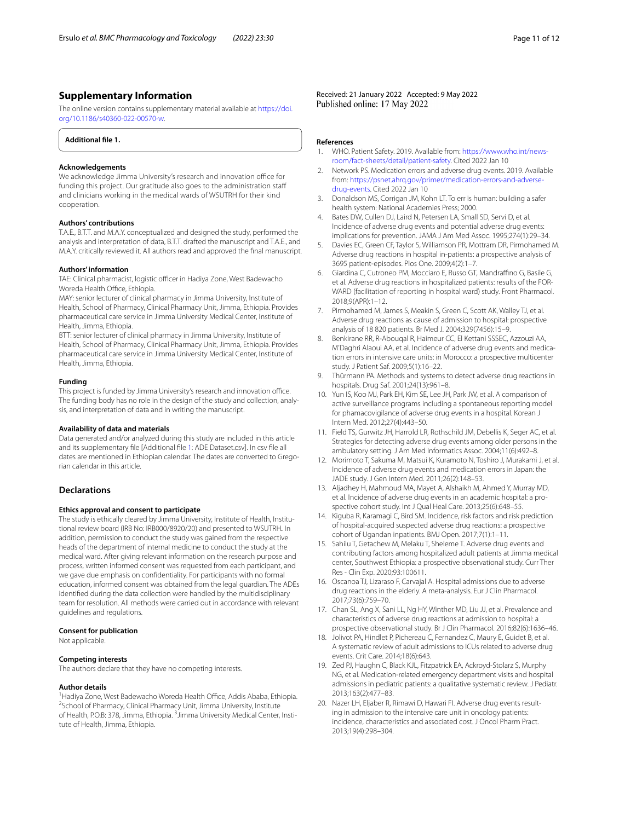# **Supplementary Information**

The online version contains supplementary material available at [https://doi.](https://doi.org/10.1186/s40360-022-00570-w) [org/10.1186/s40360-022-00570-w.](https://doi.org/10.1186/s40360-022-00570-w)

<span id="page-10-17"></span>**Additional fle 1.**

#### **Acknowledgements**

We acknowledge Jimma University's research and innovation office for funding this project. Our gratitude also goes to the administration staf and clinicians working in the medical wards of WSUTRH for their kind cooperation.

#### **Authors' contributions**

T.A.E., B.T.T. and M.A.Y. conceptualized and designed the study, performed the analysis and interpretation of data, B.T.T. drafted the manuscript and T.A.E., and M.A.Y. critically reviewed it. All authors read and approved the fnal manuscript.

#### **Authors' information**

TAE: Clinical pharmacist, logistic officer in Hadiya Zone, West Badewacho Woreda Health Office, Ethiopia.

MAY: senior lecturer of clinical pharmacy in Jimma University, Institute of Health, School of Pharmacy, Clinical Pharmacy Unit, Jimma, Ethiopia. Provides pharmaceutical care service in Jimma University Medical Center, Institute of Health, Jimma, Ethiopia.

BTT: senior lecturer of clinical pharmacy in Jimma University, Institute of Health, School of Pharmacy, Clinical Pharmacy Unit, Jimma, Ethiopia. Provides pharmaceutical care service in Jimma University Medical Center, Institute of Health, Jimma, Ethiopia.

#### **Funding**

This project is funded by Jimma University's research and innovation office. The funding body has no role in the design of the study and collection, analysis, and interpretation of data and in writing the manuscript.

#### **Availability of data and materials**

Data generated and/or analyzed during this study are included in this article and its supplementary fle [Additional fle [1:](#page-10-17) ADE Dataset.csv]. In csv fle all dates are mentioned in Ethiopian calendar. The dates are converted to Gregorian calendar in this article.

## **Declarations**

#### **Ethics approval and consent to participate**

The study is ethically cleared by Jimma University, Institute of Health, Institutional review board (IRB No: IRB000/8920/20) and presented to WSUTRH*.* In addition, permission to conduct the study was gained from the respective heads of the department of internal medicine to conduct the study at the medical ward. After giving relevant information on the research purpose and process, written informed consent was requested from each participant, and we gave due emphasis on confdentiality. For participants with no formal education, informed consent was obtained from the legal guardian. The ADEs identifed during the data collection were handled by the multidisciplinary team for resolution. All methods were carried out in accordance with relevant guidelines and regulations.

#### **Consent for publication**

Not applicable.

#### **Competing interests**

The authors declare that they have no competing interests.

#### **Author details**

<sup>1</sup> Hadiya Zone, West Badewacho Woreda Health Office, Addis Ababa, Ethiopia. <sup>2</sup> School of Pharmacy, Clinical Pharmacy Unit, Jimma University, Institute of Health, P.O.B: 378, Jimma, Ethiopia. <sup>3</sup> Jimma University Medical Center, Institute of Health, Jimma, Ethiopia.

Received: 21 January 2022 Accepted: 9 May 2022

#### **References**

- <span id="page-10-0"></span>WHO. Patient Safety. 2019. Available from: [https://www.who.int/news](https://www.who.int/news-room/fact-sheets/detail/patient-safety)[room/fact-sheets/detail/patient-safety.](https://www.who.int/news-room/fact-sheets/detail/patient-safety) Cited 2022 Jan 10
- <span id="page-10-1"></span>2. Network PS. Medication errors and adverse drug events. 2019. Available from: [https://psnet.ahrq.gov/primer/medication-errors-and-adverse](https://psnet.ahrq.gov/primer/medication-errors-and-adverse-drug-events)[drug-events](https://psnet.ahrq.gov/primer/medication-errors-and-adverse-drug-events). Cited 2022 Jan 10
- <span id="page-10-2"></span>3. Donaldson MS, Corrigan JM, Kohn LT. To err is human: building a safer health system: National Academies Press; 2000.
- <span id="page-10-3"></span>4. Bates DW, Cullen DJ, Laird N, Petersen LA, Small SD, Servi D, et al. Incidence of adverse drug events and potential adverse drug events: implications for prevention. JAMA J Am Med Assoc. 1995;274(1):29–34.
- <span id="page-10-4"></span>5. Davies EC, Green CF, Taylor S, Williamson PR, Mottram DR, Pirmohamed M. Adverse drug reactions in hospital in-patients: a prospective analysis of 3695 patient-episodes. Plos One. 2009;4(2):1–7.
- <span id="page-10-14"></span>Giardina C, Cutroneo PM, Mocciaro E, Russo GT, Mandraffino G, Basile G, et al. Adverse drug reactions in hospitalized patients: results of the FOR-WARD (facilitation of reporting in hospital ward) study. Front Pharmacol. 2018;9(APR):1–12.
- <span id="page-10-16"></span>7. Pirmohamed M, James S, Meakin S, Green C, Scott AK, Walley TJ, et al. Adverse drug reactions as cause of admission to hospital: prospective analysis of 18 820 patients. Br Med J. 2004;329(7456):15–9.
- <span id="page-10-5"></span>8. Benkirane RR, R-Abouqal R, Haimeur CC, El Kettani SSSEC, Azzouzi AA, M'Daghri Alaoui AA, et al. Incidence of adverse drug events and medication errors in intensive care units: in Morocco: a prospective multicenter study. J Patient Saf. 2009;5(1):16–22.
- <span id="page-10-6"></span>9. Thürmann PA. Methods and systems to detect adverse drug reactions in hospitals. Drug Saf. 2001;24(13):961–8.
- <span id="page-10-7"></span>10. Yun IS, Koo MJ, Park EH, Kim SE, Lee JH, Park JW, et al. A comparison of active surveillance programs including a spontaneous reporting model for phamacovigilance of adverse drug events in a hospital. Korean J Intern Med. 2012;27(4):443–50.
- <span id="page-10-8"></span>11. Field TS, Gurwitz JH, Harrold LR, Rothschild JM, Debellis K, Seger AC, et al. Strategies for detecting adverse drug events among older persons in the ambulatory setting. J Am Med Informatics Assoc. 2004;11(6):492–8.
- <span id="page-10-9"></span>12. Morimoto T, Sakuma M, Matsui K, Kuramoto N, Toshiro J, Murakami J, et al. Incidence of adverse drug events and medication errors in Japan: the JADE study. J Gen Intern Med. 2011;26(2):148–53.
- <span id="page-10-10"></span>13. Aljadhey H, Mahmoud MA, Mayet A, Alshaikh M, Ahmed Y, Murray MD, et al. Incidence of adverse drug events in an academic hospital: a prospective cohort study. Int J Qual Heal Care. 2013;25(6):648–55.
- <span id="page-10-11"></span>14. Kiguba R, Karamagi C, Bird SM. Incidence, risk factors and risk prediction of hospital-acquired suspected adverse drug reactions: a prospective cohort of Ugandan inpatients. BMJ Open. 2017;7(1):1–11.
- <span id="page-10-12"></span>15. Sahilu T, Getachew M, Melaku T, Sheleme T. Adverse drug events and contributing factors among hospitalized adult patients at Jimma medical center, Southwest Ethiopia: a prospective observational study. Curr Ther Res - Clin Exp. 2020;93:100611.
- <span id="page-10-13"></span>16. Oscanoa TJ, Lizaraso F, Carvajal A. Hospital admissions due to adverse drug reactions in the elderly. A meta-analysis. Eur J Clin Pharmacol. 2017;73(6):759–70.
- 17. Chan SL, Ang X, Sani LL, Ng HY, Winther MD, Liu JJ, et al. Prevalence and characteristics of adverse drug reactions at admission to hospital: a prospective observational study. Br J Clin Pharmacol. 2016;82(6):1636–46.
- 18. Jolivot PA, Hindlet P, Pichereau C, Fernandez C, Maury E, Guidet B, et al. A systematic review of adult admissions to ICUs related to adverse drug events. Crit Care. 2014;18(6):643.
- 19. Zed PJ, Haughn C, Black KJL, Fitzpatrick EA, Ackroyd-Stolarz S, Murphy NG, et al. Medication-related emergency department visits and hospital admissions in pediatric patients: a qualitative systematic review. J Pediatr. 2013;163(2):477–83.
- <span id="page-10-15"></span>20. Nazer LH, Eljaber R, Rimawi D, Hawari FI. Adverse drug events resulting in admission to the intensive care unit in oncology patients: incidence, characteristics and associated cost. J Oncol Pharm Pract. 2013;19(4):298–304.